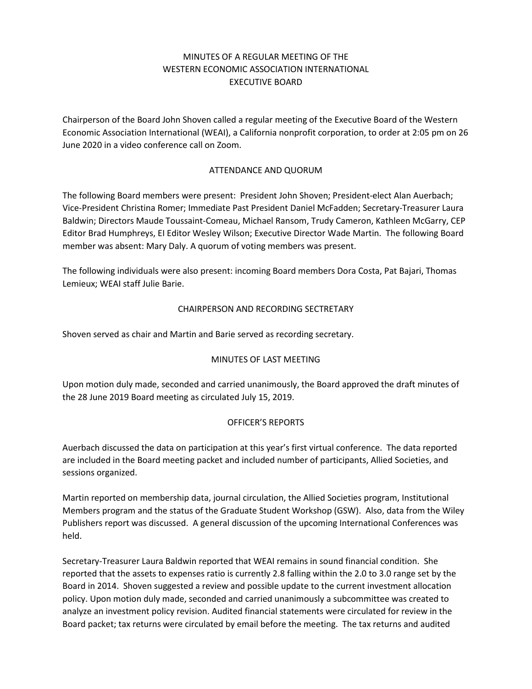### MINUTES OF A REGULAR MEETING OF THE WESTERN ECONOMIC ASSOCIATION INTERNATIONAL EXECUTIVE BOARD

Chairperson of the Board John Shoven called a regular meeting of the Executive Board of the Western Economic Association International (WEAI), a California nonprofit corporation, to order at 2:05 pm on 26 June 2020 in a video conference call on Zoom.

### ATTENDANCE AND QUORUM

The following Board members were present: President John Shoven; President-elect Alan Auerbach; Vice-President Christina Romer; Immediate Past President Daniel McFadden; Secretary-Treasurer Laura Baldwin; Directors Maude Toussaint-Comeau, Michael Ransom, Trudy Cameron, Kathleen McGarry, CEP Editor Brad Humphreys, EI Editor Wesley Wilson; Executive Director Wade Martin. The following Board member was absent: Mary Daly. A quorum of voting members was present.

The following individuals were also present: incoming Board members Dora Costa, Pat Bajari, Thomas Lemieux; WEAI staff Julie Barie.

### CHAIRPERSON AND RECORDING SECTRETARY

Shoven served as chair and Martin and Barie served as recording secretary.

### MINUTES OF LAST MEETING

Upon motion duly made, seconded and carried unanimously, the Board approved the draft minutes of the 28 June 2019 Board meeting as circulated July 15, 2019.

### OFFICER'S REPORTS

Auerbach discussed the data on participation at this year's first virtual conference. The data reported are included in the Board meeting packet and included number of participants, Allied Societies, and sessions organized.

Martin reported on membership data, journal circulation, the Allied Societies program, Institutional Members program and the status of the Graduate Student Workshop (GSW). Also, data from the Wiley Publishers report was discussed. A general discussion of the upcoming International Conferences was held.

Secretary-Treasurer Laura Baldwin reported that WEAI remains in sound financial condition. She reported that the assets to expenses ratio is currently 2.8 falling within the 2.0 to 3.0 range set by the Board in 2014. Shoven suggested a review and possible update to the current investment allocation policy. Upon motion duly made, seconded and carried unanimously a subcommittee was created to analyze an investment policy revision. Audited financial statements were circulated for review in the Board packet; tax returns were circulated by email before the meeting. The tax returns and audited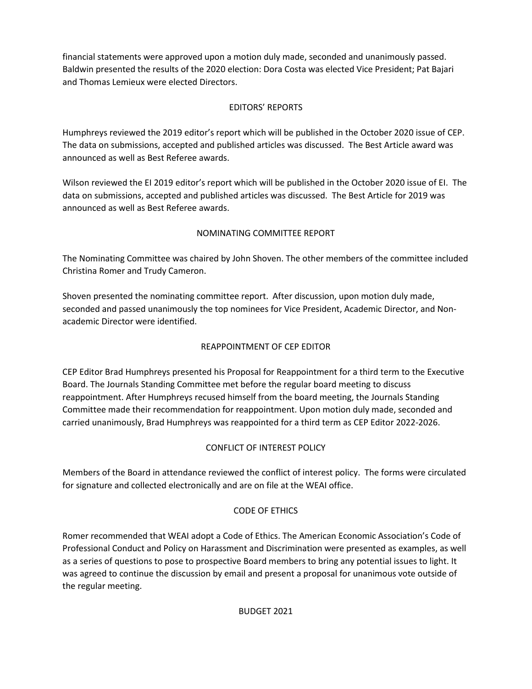financial statements were approved upon a motion duly made, seconded and unanimously passed. Baldwin presented the results of the 2020 election: Dora Costa was elected Vice President; Pat Bajari and Thomas Lemieux were elected Directors.

# EDITORS' REPORTS

Humphreys reviewed the 2019 editor's report which will be published in the October 2020 issue of CEP. The data on submissions, accepted and published articles was discussed. The Best Article award was announced as well as Best Referee awards.

Wilson reviewed the EI 2019 editor's report which will be published in the October 2020 issue of EI. The data on submissions, accepted and published articles was discussed. The Best Article for 2019 was announced as well as Best Referee awards.

## NOMINATING COMMITTEE REPORT

The Nominating Committee was chaired by John Shoven. The other members of the committee included Christina Romer and Trudy Cameron.

Shoven presented the nominating committee report. After discussion, upon motion duly made, seconded and passed unanimously the top nominees for Vice President, Academic Director, and Nonacademic Director were identified.

# REAPPOINTMENT OF CEP EDITOR

CEP Editor Brad Humphreys presented his Proposal for Reappointment for a third term to the Executive Board. The Journals Standing Committee met before the regular board meeting to discuss reappointment. After Humphreys recused himself from the board meeting, the Journals Standing Committee made their recommendation for reappointment. Upon motion duly made, seconded and carried unanimously, Brad Humphreys was reappointed for a third term as CEP Editor 2022-2026.

### CONFLICT OF INTEREST POLICY

Members of the Board in attendance reviewed the conflict of interest policy. The forms were circulated for signature and collected electronically and are on file at the WEAI office.

### CODE OF ETHICS

Romer recommended that WEAI adopt a Code of Ethics. The American Economic Association's Code of Professional Conduct and Policy on Harassment and Discrimination were presented as examples, as well as a series of questions to pose to prospective Board members to bring any potential issues to light. It was agreed to continue the discussion by email and present a proposal for unanimous vote outside of the regular meeting.

### BUDGET 2021